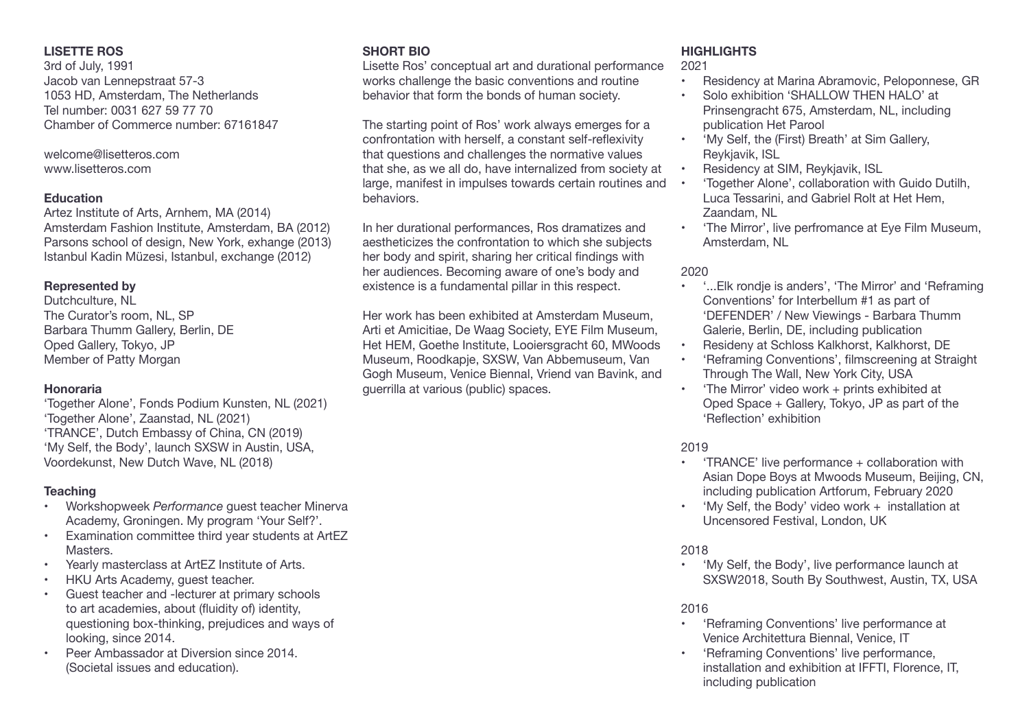## **LISETTE ROS**

3rd of July, 1991 Jacob van Lennepstraat 57-3 1053 HD, Amsterdam, The Netherlands Tel number: 0031 627 59 77 70 Chamber of Commerce number: 67161847

welcome@lisetteros.com www.lisetteros.com

### **Education**

Artez Institute of Arts, Arnhem, MA (2014) Amsterdam Fashion Institute, Amsterdam, BA (2012) Parsons school of design, New York, exhange (2013) Istanbul Kadin Müzesi, Istanbul, exchange (2012)

## **Represented by**

Dutchculture, NL The Curator's room, NL, SP Barbara Thumm Gallery, Berlin, DE Oped Gallery, Tokyo, JP Member of Patty Morgan

## **Honoraria**

'Together Alone', Fonds Podium Kunsten, NL (2021) 'Together Alone', Zaanstad, NL (2021) 'TRANCE', Dutch Embassy of China, CN (2019) 'My Self, the Body', launch SXSW in Austin, USA, Voordekunst, New Dutch Wave, NL (2018)

## **Teaching**

- **Workshopweek Performance quest teacher Minerva** Academy, Groningen. My program 'Your Self?'.
- • Examination committee third year students at ArtEZ **Masters**
- Yearly masterclass at ArtEZ Institute of Arts.
- • HKU Arts Academy, guest teacher.
- Guest teacher and -lecturer at primary schools to art academies, about (fluidity of) identity, questioning box-thinking, prejudices and ways of looking, since 2014.
- Peer Ambassador at Diversion since 2014. (Societal issues and education).

# **SHORT BIO**

Lisette Ros' conceptual art and durational performance works challenge the basic conventions and routine behavior that form the bonds of human society.

The starting point of Ros' work always emerges for a confrontation with herself, a constant self-reflexivity that questions and challenges the normative values that she, as we all do, have internalized from society at large, manifest in impulses towards certain routines and • behaviors.

In her durational performances, Ros dramatizes and aestheticizes the confrontation to which she subjects her body and spirit, sharing her critical findings with her audiences. Becoming aware of one's body and existence is a fundamental pillar in this respect.

Her work has been exhibited at Amsterdam Museum, Arti et Amicitiae, De Waag Society, EYE Film Museum, Het HEM, Goethe Institute, Looiersgracht 60, MWoods Museum, Roodkapje, SXSW, Van Abbemuseum, Van Gogh Museum, Venice Biennal, Vriend van Bavink, and guerrilla at various (public) spaces.

## **HIGHLIGHTS**

2021

- **Residency at Marina Abramovic, Peloponnese, GR**
- Solo exhibition 'SHALLOW THEN HALO' at Prinsengracht 675, Amsterdam, NL, including publication Het Parool
- • 'My Self, the (First) Breath' at Sim Gallery, Reykjavik, ISL
- Residency at SIM, Reykjavik, ISL
- 'Together Alone', collaboration with Guido Dutilh, Luca Tessarini, and Gabriel Rolt at Het Hem, Zaandam, NL
- 'The Mirror', live perfromance at Eye Film Museum, Amsterdam, NL

# 2020

- • '...Elk rondje is anders', 'The Mirror' and 'Reframing Conventions' for Interbellum #1 as part of 'DEFENDER' / New Viewings - Barbara Thumm Galerie, Berlin, DE, including publication
- Resideny at Schloss Kalkhorst, Kalkhorst, DE
- 'Reframing Conventions', filmscreening at Straight Through The Wall, New York City, USA
- 'The Mirror' video work  $+$  prints exhibited at Oped Space + Gallery, Tokyo, JP as part of the 'Reflection' exhibition

# 2019

- 'TRANCE' live performance + collaboration with Asian Dope Boys at Mwoods Museum, Beijing, CN, including publication Artforum, February 2020
- 'My Self, the Body' video work  $+$  installation at Uncensored Festival, London, UK

# 2018

'My Self, the Body', live performance launch at SXSW2018, South By Southwest, Austin, TX, USA

## 2016

- • 'Reframing Conventions' live performance at Venice Architettura Biennal, Venice, IT
- 'Reframing Conventions' live performance, installation and exhibition at IFFTI, Florence, IT, including publication